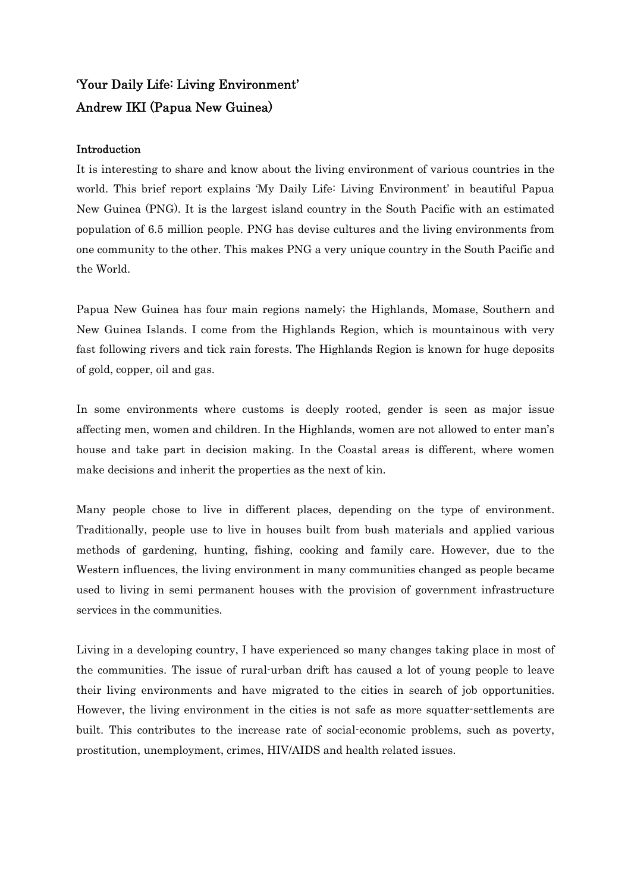## 'Your Daily Life: Living Environment' Andrew IKI (Papua New Guinea)

## Introduction

It is interesting to share and know about the living environment of various countries in the world. This brief report explains 'My Daily Life: Living Environment' in beautiful Papua New Guinea (PNG). It is the largest island country in the South Pacific with an estimated population of 6.5 million people. PNG has devise cultures and the living environments from one community to the other. This makes PNG a very unique country in the South Pacific and the World.

Papua New Guinea has four main regions namely; the Highlands, Momase, Southern and New Guinea Islands. I come from the Highlands Region, which is mountainous with very fast following rivers and tick rain forests. The Highlands Region is known for huge deposits of gold, copper, oil and gas.

In some environments where customs is deeply rooted, gender is seen as major issue affecting men, women and children. In the Highlands, women are not allowed to enter man's house and take part in decision making. In the Coastal areas is different, where women make decisions and inherit the properties as the next of kin.

Many people chose to live in different places, depending on the type of environment. Traditionally, people use to live in houses built from bush materials and applied various methods of gardening, hunting, fishing, cooking and family care. However, due to the Western influences, the living environment in many communities changed as people became used to living in semi permanent houses with the provision of government infrastructure services in the communities.

Living in a developing country, I have experienced so many changes taking place in most of the communities. The issue of rural-urban drift has caused a lot of young people to leave their living environments and have migrated to the cities in search of job opportunities. However, the living environment in the cities is not safe as more squatter-settlements are built. This contributes to the increase rate of social-economic problems, such as poverty, prostitution, unemployment, crimes, HIV/AIDS and health related issues.